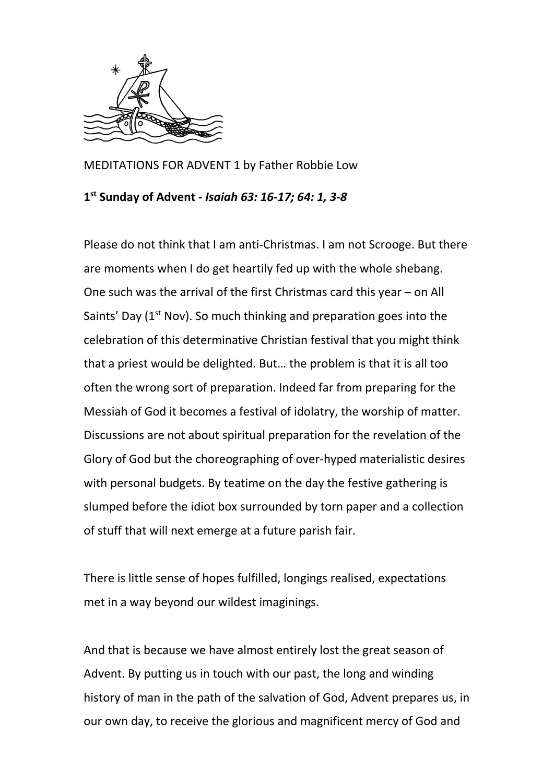

MEDITATIONS FOR ADVENT 1 by Father Robbie Low

## **1 st Sunday of Advent -** *Isaiah 63: 16-17; 64: 1, 3-8*

Please do not think that I am anti-Christmas. I am not Scrooge. But there are moments when I do get heartily fed up with the whole shebang. One such was the arrival of the first Christmas card this year – on All Saints' Day  $(1<sup>st</sup> Nov)$ . So much thinking and preparation goes into the celebration of this determinative Christian festival that you might think that a priest would be delighted. But… the problem is that it is all too often the wrong sort of preparation. Indeed far from preparing for the Messiah of God it becomes a festival of idolatry, the worship of matter. Discussions are not about spiritual preparation for the revelation of the Glory of God but the choreographing of over-hyped materialistic desires with personal budgets. By teatime on the day the festive gathering is slumped before the idiot box surrounded by torn paper and a collection of stuff that will next emerge at a future parish fair.

There is little sense of hopes fulfilled, longings realised, expectations met in a way beyond our wildest imaginings.

And that is because we have almost entirely lost the great season of Advent. By putting us in touch with our past, the long and winding history of man in the path of the salvation of God, Advent prepares us, in our own day, to receive the glorious and magnificent mercy of God and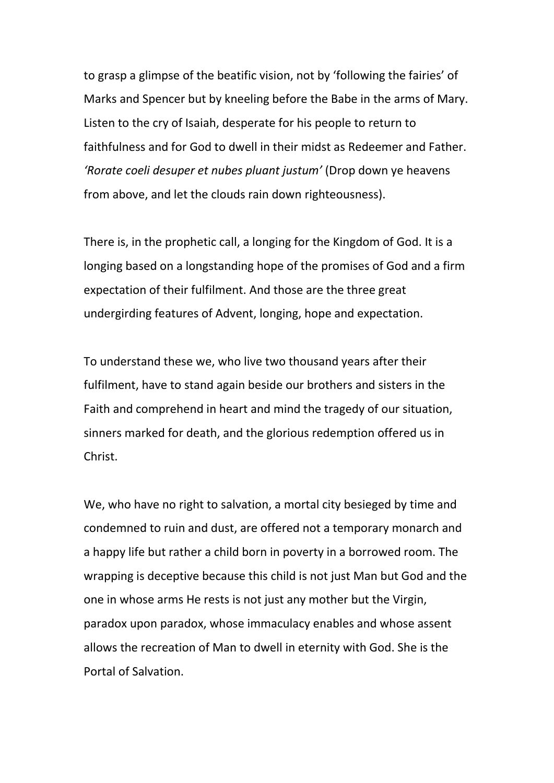to grasp a glimpse of the beatific vision, not by 'following the fairies' of Marks and Spencer but by kneeling before the Babe in the arms of Mary. Listen to the cry of Isaiah, desperate for his people to return to faithfulness and for God to dwell in their midst as Redeemer and Father. *'Rorate coeli desuper et nubes pluant justum'* (Drop down ye heavens from above, and let the clouds rain down righteousness).

There is, in the prophetic call, a longing for the Kingdom of God. It is a longing based on a longstanding hope of the promises of God and a firm expectation of their fulfilment. And those are the three great undergirding features of Advent, longing, hope and expectation.

To understand these we, who live two thousand years after their fulfilment, have to stand again beside our brothers and sisters in the Faith and comprehend in heart and mind the tragedy of our situation, sinners marked for death, and the glorious redemption offered us in Christ.

We, who have no right to salvation, a mortal city besieged by time and condemned to ruin and dust, are offered not a temporary monarch and a happy life but rather a child born in poverty in a borrowed room. The wrapping is deceptive because this child is not just Man but God and the one in whose arms He rests is not just any mother but the Virgin, paradox upon paradox, whose immaculacy enables and whose assent allows the recreation of Man to dwell in eternity with God. She is the Portal of Salvation.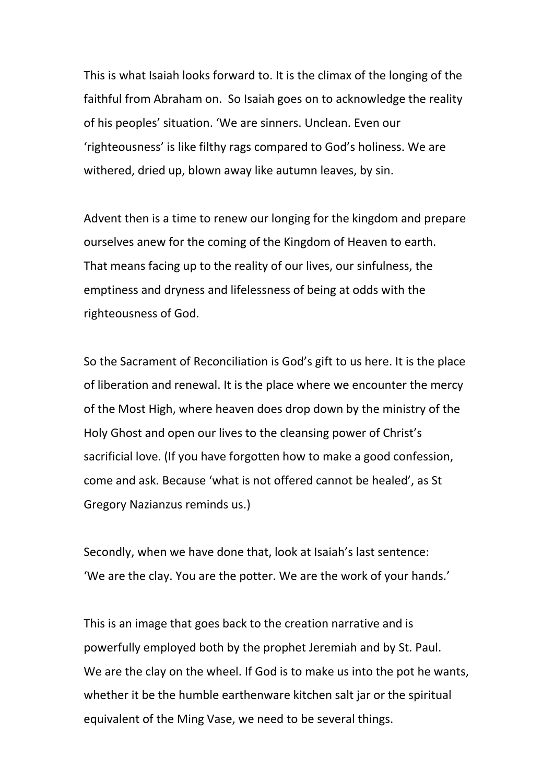This is what Isaiah looks forward to. It is the climax of the longing of the faithful from Abraham on. So Isaiah goes on to acknowledge the reality of his peoples' situation. 'We are sinners. Unclean. Even our 'righteousness' is like filthy rags compared to God's holiness. We are withered, dried up, blown away like autumn leaves, by sin.

Advent then is a time to renew our longing for the kingdom and prepare ourselves anew for the coming of the Kingdom of Heaven to earth. That means facing up to the reality of our lives, our sinfulness, the emptiness and dryness and lifelessness of being at odds with the righteousness of God.

So the Sacrament of Reconciliation is God's gift to us here. It is the place of liberation and renewal. It is the place where we encounter the mercy of the Most High, where heaven does drop down by the ministry of the Holy Ghost and open our lives to the cleansing power of Christ's sacrificial love. (If you have forgotten how to make a good confession, come and ask. Because 'what is not offered cannot be healed', as St Gregory Nazianzus reminds us.)

Secondly, when we have done that, look at Isaiah's last sentence: 'We are the clay. You are the potter. We are the work of your hands.'

This is an image that goes back to the creation narrative and is powerfully employed both by the prophet Jeremiah and by St. Paul. We are the clay on the wheel. If God is to make us into the pot he wants, whether it be the humble earthenware kitchen salt jar or the spiritual equivalent of the Ming Vase, we need to be several things.